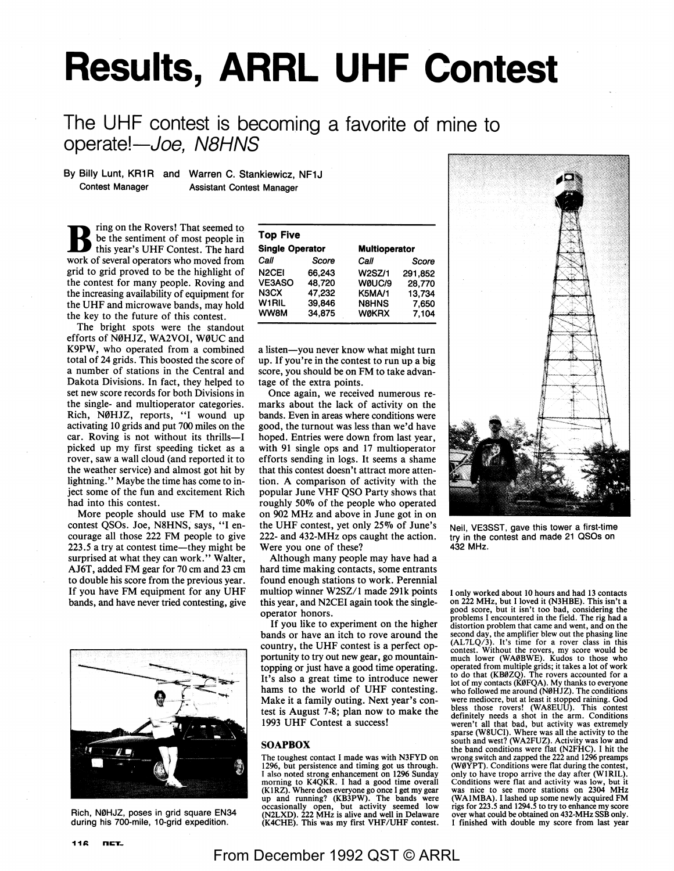# **Results, ARRL UHF Contest**

## The UHF contest is becoming a favorite of mine to operate!-Joe, N8HNS

By Billy Lunt, KR1R and Warren C. Stankiewicz, NF1J Contest Manager Assistant Contest Manager

ring on the Rovers! That seemed to be the sentiment of most people in this year's UHF Contest. The hard work of several operators who moved from grid to grid proved to be the highlight of the contest for many people. Roving and the increasing availability of equipment for the UHF and microwave bands, may hold the key to the future of this contest.

The bright spots were the standout efforts of N0HJZ, WA2VOI, W0UC and **K9PW,** who operated from a combined total of 24 grids. This boosted the score of a number of stations in the Central and Dakota Divisions. In fact, they helped to set new score records for both Divisions in the single- and multioperator categories. Rich, N0HJZ, reports, "I wound up activating 10 grids and put 700 miles on the car. Roving is not without its thrills-I picked up my first speeding ticket as a rover, saw a wall cloud (and reported it to the weather service) and almost got hit by lightning.'' Maybe the time has come to inject some of the fun and excitement Rich had into this contest.

More people should use FM to make contest QSOs. Joe, N8HNS; says, "I encourage all those 222 FM people to give  $223.5$  a try at contest time-they might be surprised at what they can work." Walter, AJ6T, added FM gear for 70 cm and 23 cm to double his score from the previous year. If you have FM equipment for any UHF bands, and have never tried contesting, give



Rich, N0HJZ, poses in grid square EN34 during his 700-mile, 10-grid expedition.

| <b>Top Five</b>               |        |                      |         |  |  |  |  |  |  |  |  |
|-------------------------------|--------|----------------------|---------|--|--|--|--|--|--|--|--|
| <b>Single Operator</b>        |        | <b>Multioperator</b> |         |  |  |  |  |  |  |  |  |
| Call                          | Score  | Call                 | Score   |  |  |  |  |  |  |  |  |
| N <sub>2</sub> CEI            | 66.243 | <b>W2SZ/1</b>        | 291.852 |  |  |  |  |  |  |  |  |
| <b>VE3ASO</b>                 | 48,720 | WØUC/9               | 28.770  |  |  |  |  |  |  |  |  |
| N <sub>3</sub> C <sub>X</sub> | 47.232 | K5MA/1               | 13,734  |  |  |  |  |  |  |  |  |
| W <sub>1</sub> RIL            | 39,846 | <b>N8HNS</b>         | 7,650   |  |  |  |  |  |  |  |  |
| <b>WW8M</b>                   | 34.875 | <b>WØKRX</b>         | 7.104   |  |  |  |  |  |  |  |  |

a listen-you never know what might turn up. If you're in the contest to run up a big score, you should be on FM to take advantage of the extra points.

Once again, we received numerous remarks about the lack of activity on the bands. Even in areas where conditions were good, the turnout was less than we'd have hoped. Entries were down from last year, with 91 single ops and 17 multioperator efforts sending in logs. It seems a shame that this contest doesn't attract more attention. A comparison of activity with the popular June VHF QSO Party shows that roughly 50% of the people who operated on 902 MHz and above in June got in on the UHF contest, yet only 25% of June's 222- and 432-MHz ops caught the action. Were you one of these?

Although many people may have had a hard time making contacts, some entrants found enough stations to work. Perennial multiop winner W2SZ/l made 291k points this year, and N2CEI again took the singleoperator honors.

If you like to experiment on the higher bands or have an itch to rove around the country, the UHF contest is a perfect opportunity to try out new gear, go mountaintopping or just have a good time operating. It's also a great time to introduce newer hams to the world of UHF contesting. Make it a family outing. Next year's contest is August 7-8; plan now to make the 1993 UHF Contest a success!

#### **SOAPBOX**

The toughest contact I made was with N3FYD on 1296, but persistence and timing got us through. I also noted strong enhancement on 1296 Sunday<br>morning to K4QKR. I had a good time overall<br>(KIRZ). Where does everyone go once I get my gear<br>up and running? (KB3PW). The bands were occasionally open, but activity seemed low (N2LXD). 222 MHz is alive and well in Delaware (K4CHE). This was my first VHF/UHF contest.



Neil, VE3SST, gave this tower a first-time try in the contest and made 21 QSOs on 432 MHz.

I only worked about lO hours and had 13 contacts on 222 MHz, but I loved it (N3HBE). This isn't a good score, but it isn't too bad, considering the problems I encountered in the field. The rig had a distortion problem that came and went, and on the second day, the amplifier blew out the phasing line (AL7LQ/3). It's time for a rover class in this contest. Without the rovers, my score would be much lower (WA0BWE). Kudos to those who operated from multiple grids; it takes a lot of work to do that (KB0ZQ). The rovers accounted for a lot of my contacts (K0FQA). My thanks to everyone who followed me around (N0HJZ). The conditions were mediocre, but at least it stopped raining. God bless those rovers! (WA8EUU). This contest definitely needs a shot in the arm. Conditions weren't all that bad, but activity was extremely sparse (WSUCI). Where was all the activity to the south and west? (WA2FUZ). Activity was low and the band conditions were flat (N2FHC). I hit the wrong switch and zapped the 222 and 1296 preamps (W0YPT). Conditions were flat during the contest, only to have tropo arrive the day after (WIRIL). Conditions were flat and activity was low, but it was nice to see more stations on 2304 MHz (WAIMBA). I lashed up some newly acquired FM rigs for 223.5 and 1294.5 to try to enhance my score over what could be obtained on 432-MHz SSB only. I finished with double my score from last year

### From December 1992 QST © ARRL